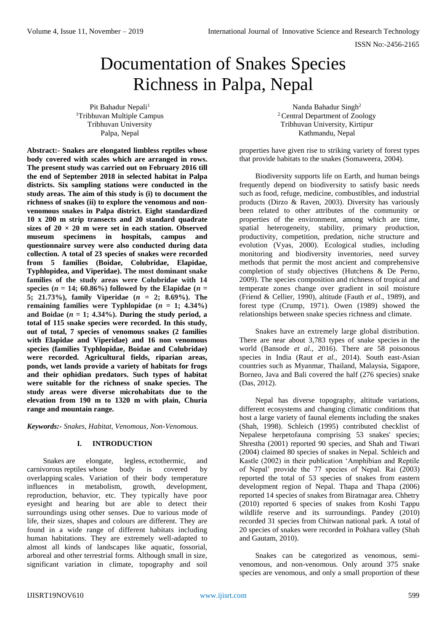# Documentation of Snakes Species Richness in Palpa, Nepal

Pit Bahadur Nepali<sup>1</sup> <sup>1</sup>Tribhuvan Multiple Campus Tribhuvan University Palpa, Nepal

**Abstract:- Snakes are elongated limbless reptiles whose body covered with scales which are arranged in rows. The present study was carried out on February 2016 till the end of September 2018 in selected habitat in Palpa districts. Six sampling stations were conducted in the study areas. The aim of this study is (i) to document the richness of snakes (ii) to explore the venomous and nonvenomous snakes in Palpa district. Eight standardized 10 x 200 m strip transects and 20 standard quadrate**  sizes of  $20 \times 20$  m were set in each station. Observed **museum specimens in hospitals, campus and questionnaire survey were also conducted during data collection. A total of 23 species of snakes were recorded from 5 families (Boidae, Colubridae, Elapidae, Typhlopidea, and Viperidae). The most dominant snake families of the study areas were Colubridae with 14**  species ( $n = 14$ ; 60.86%) followed by the Elapidae ( $n =$ **5; 21.73%), family Viperidae (***n* **= 2; 8.69%). The remaining families were Typhlopidae (***n* **= 1; 4.34%)**  and Boidae  $(n = 1; 4.34\%)$ . During the study period, a **total of 115 snake species were recorded. In this study, out of total, 7 species of venomous snakes (2 families with Elapidae and Viperidae) and 16 non venomous species (families Typhlopidae, Boidae and Colubridae) were recorded. Agricultural fields, riparian areas, ponds, wet lands provide a variety of habitats for frogs and their ophidian predators. Such types of habitat were suitable for the richness of snake species. The study areas were diverse microhabitats due to the elevation from 190 m to 1320 m with plain, Churia range and mountain range.** 

*Keywords:- Snakes, Habitat, Venomous, Non-Venomous.*

## **I. INTRODUCTION**

Snakes are elongate, legless, ectothermic, and carnivorous reptiles whose body is covered by overlapping scales. Variation of their body temperature influences in metabolism, growth, development, reproduction, behavior, etc. They typically have poor eyesight and hearing but are able to detect their surroundings using other senses. Due to various mode of life, their sizes, shapes and colours are different. They are found in a wide range of different habitats including human habitations. They are extremely well-adapted to almost all kinds of landscapes like aquatic, fossorial, arboreal and other terrestrial forms. Although small in size, significant variation in climate, topography and soil

Nanda Bahadur Singh<sup>2</sup> <sup>2</sup>Central Department of Zoology Tribhuvan University, Kirtipur Kathmandu, Nepal

properties have given rise to striking variety of forest types that provide habitats to the snakes (Somaweera, 2004).

Biodiversity supports life on Earth, and human beings frequently depend on biodiversity to satisfy basic needs such as food, refuge, medicine, combustibles, and industrial products (Dirzo & Raven, 2003). Diversity has variously been related to other attributes of the community or properties of the environment, among which are time, spatial heterogeneity, stability, primary production, productivity, competition, predation, niche structure and evolution (Vyas, 2000). Ecological studies, including monitoring and biodiversity inventories, need survey methods that permit the most ancient and comprehensive completion of study objectives (Hutchens & De Perno, 2009). The species composition and richness of tropical and temperate zones change over gradient in soil moisture (Friend & Cellier, 1990), altitude (Fauth *et al*., 1989), and forest type (Crump, 1971). Owen (1989) showed the relationships between snake species richness and climate.

Snakes have an extremely large global distribution. There are near about 3,783 types of snake species in the world (Bansode *et al*., 2016). There are 58 poisonous species in India (Raut *et al.*, 2014). South east-Asian countries such as Myanmar, Thailand, Malaysia, Sigapore, Borneo, Java and Bali covered the half (276 species) snake (Das, 2012).

Nepal has diverse topography, altitude variations, different ecosystems and changing climatic conditions that host a large variety of faunal elements including the snakes (Shah, 1998). Schleich (1995) contributed checklist of Nepalese herpetofauna comprising 53 snakes' species; Shrestha (2001) reported 90 species, and Shah and Tiwari (2004) claimed 80 species of snakes in Nepal. Schleich and Kastle (2002) in their publication 'Amphibian and Reptile of Nepal' provide the 77 species of Nepal. Rai (2003) reported the total of 53 species of snakes from eastern development region of Nepal. Thapa and Thapa (2006) reported 14 species of snakes from Biratnagar area. Chhetry (2010) reported 6 species of snakes from Koshi Tappu wildlife reserve and its surroundings. Pandey (2010) recorded 31 species from Chitwan national park. A total of 20 species of snakes were recorded in Pokhara valley (Shah and Gautam, 2010).

Snakes can be categorized as venomous, semivenomous, and non-venomous. Only around 375 snake species are venomous, and only a small proportion of these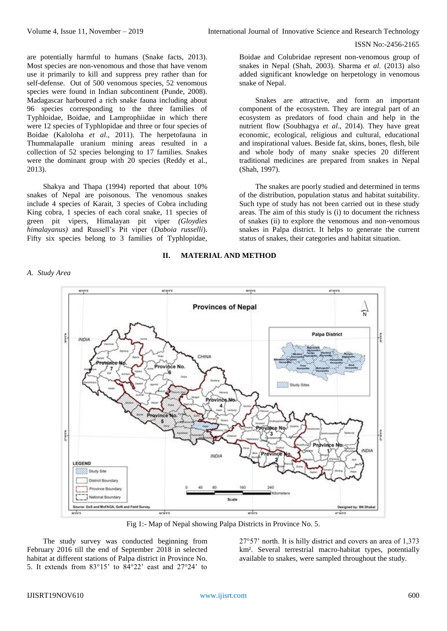are potentially harmful to humans (Snake facts, 2013). Most species are non-venomous and those that have venom use it primarily to kill and suppress prey rather than for self-defense. Out of 500 venomous species, 52 venomous species were found in Indian subcontinent (Punde, 2008). Madagascar harboured a rich snake fauna including about 96 species corresponding to the three families of Typhloidae, Boidae, and Lamprophiidae in which there were 12 species of Typhlopidae and three or four species of Boidae (Kaloloha *et al*., 2011). The herpetofauna in Thummalapalle uranium mining areas resulted in a collection of 52 species belonging to 17 families. Snakes were the dominant group with 20 species (Reddy et al., 2013).

Shakya and Thapa (1994) reported that about 10% snakes of Nepal are poisonous. The venomous snakes include 4 species of Karait, 3 species of Cobra including King cobra, 1 species of each coral snake, 11 species of green pit vipers, Himalayan pit viper *(Gloydies himalayanus)* and Russell's Pit viper (*Daboia russelli*). Fifty six species belong to 3 families of Typhlopidae, Boidae and Colubridae represent non-venomous group of snakes in Nepal (Shah, 2003). Sharma *et al*. (2013) also added significant knowledge on herpetology in venomous snake of Nepal.

Snakes are attractive, and form an important component of the ecosystem. They are integral part of an ecosystem as predators of food chain and help in the nutrient flow (Soubhagya *et al*., 2014). They have great economic, ecological, religious and cultural, educational and inspirational values. Beside fat, skins, bones, flesh, bile and whole body of many snake species 20 different traditional medicines are prepared from snakes in Nepal (Shah, 1997).

The snakes are poorly studied and determined in terms of the distribution, population status and habitat suitability. Such type of study has not been carried out in these study areas. The aim of this study is (i) to document the richness of snakes (ii) to explore the venomous and non-venomous snakes in Palpa district. It helps to generate the current status of snakes, their categories and habitat situation.

#### **II. MATERIAL AND METHOD**



Fig 1:- Map of Nepal showing Palpa Districts in Province No. 5.

The study survey was conducted beginning from February 2016 till the end of September 2018 in selected habitat at different stations of Palpa district in Province No. 5. It extends from 83°15' to 84°22' east and 27°24' to

27°57' north. It is hilly district and covers an area of 1,373 km². Several terrestrial macro-habitat types, potentially available to snakes, were sampled throughout the study.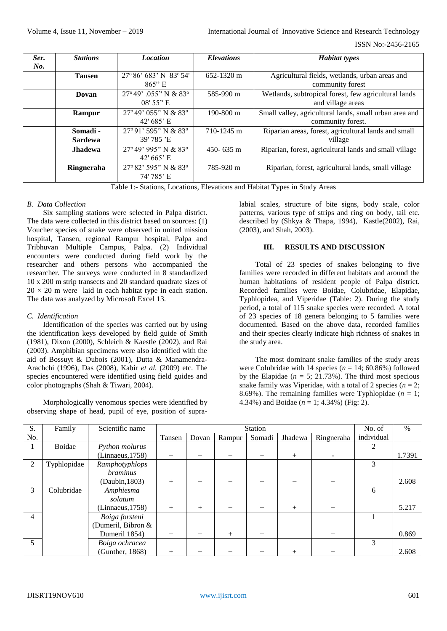| Ser. | <b>Stations</b> | <b>Location</b>                        | <b>Elevations</b> | <b>Habitat types</b>                                   |  |  |  |  |
|------|-----------------|----------------------------------------|-------------------|--------------------------------------------------------|--|--|--|--|
| No.  |                 |                                        |                   |                                                        |  |  |  |  |
|      | <b>Tansen</b>   | $27^{\circ}86'683'$ N $83^{\circ}54'$  | $652 - 1320$ m    | Agricultural fields, wetlands, urban areas and         |  |  |  |  |
|      |                 | 865" E                                 |                   | community forest                                       |  |  |  |  |
|      | Dovan           | $27^{\circ}49'$ .055" N & 83°          | 585-990 m         | Wetlands, subtropical forest, few agricultural lands   |  |  |  |  |
|      |                 | $08'$ 55" E                            |                   | and village areas                                      |  |  |  |  |
|      | Rampur          | 27°49' 055" N & 83°                    | $190 - 800$ m     | Small valley, agricultural lands, small urban area and |  |  |  |  |
|      |                 | 42' $685'$ E                           |                   | community forest.                                      |  |  |  |  |
|      | Somadi -        | $27^{\circ}91'$ 595" N & 83 $^{\circ}$ | $710 - 1245$ m    | Riparian areas, forest, agricultural lands and small   |  |  |  |  |
|      | <b>Sardewa</b>  | 39' 785 'E                             |                   | village                                                |  |  |  |  |
|      | <b>Jhadewa</b>  | $27^{\circ}49'95''$ N & 83 $^{\circ}$  | 450-635 $m$       | Riparian, forest, agricultural lands and small village |  |  |  |  |
|      |                 | 42' $665'$ E                           |                   |                                                        |  |  |  |  |
|      | Ringneraha      | $27^{\circ}82'$ 595" N & 83 $^{\circ}$ | 785-920 m         | Riparian, forest, agricultural lands, small village    |  |  |  |  |
|      |                 | 74'785' E                              |                   |                                                        |  |  |  |  |

Table 1:- Stations, Locations, Elevations and Habitat Types in Study Areas

### *B. Data Collection*

Six sampling stations were selected in Palpa district. The data were collected in this district based on sources: (1) Voucher species of snake were observed in united mission hospital, Tansen, regional Rampur hospital, Palpa and Tribhuvan Multiple Campus, Palpa. (2) Individual encounters were conducted during field work by the researcher and others persons who accompanied the researcher. The surveys were conducted in 8 standardized 10 x 200 m strip transects and 20 standard quadrate sizes of  $20 \times 20$  m were laid in each habitat type in each station. The data was analyzed by Microsoft Excel 13.

#### *C. Identification*

Identification of the species was carried out by using the identification keys developed by field guide of Smith (1981), Dixon (2000), Schleich & Kaestle (2002), and Rai (2003). Amphibian specimens were also identified with the aid of Bossuyt & Dubois (2001), Dutta & Manamendra-Arachchi (1996), Das (2008), Kabir *et al.* (2009) etc. The species encountered were identified using field guides and color photographs (Shah & Tiwari, 2004).

Morphologically venomous species were identified by observing shape of head, pupil of eye, position of supralabial scales, structure of bite signs, body scale, color patterns, various type of strips and ring on body, tail etc. described by (Shkya & Thapa, 1994), Kastle(2002), Rai, (2003), and Shah, 2003).

### **III. RESULTS AND DISCUSSION**

Total of 23 species of snakes belonging to five families were recorded in different habitats and around the human habitations of resident people of Palpa district. Recorded families were Boidae, Colubridae, Elapidae, Typhlopidea, and Viperidae (Table: 2). During the study period, a total of 115 snake species were recorded. A total of 23 species of 18 genera belonging to 5 families were documented. Based on the above data, recorded families and their species clearly indicate high richness of snakes in the study area.

The most dominant snake families of the study areas were Colubridae with 14 species ( $n = 14$ ; 60.86%) followed by the Elapidae  $(n = 5; 21.73\%)$ . The third most specious snake family was Viperidae, with a total of 2 species ( $n = 2$ ; 8.69%). The remaining families were Typhlopidae  $(n = 1;$ 4.34%) and Boidae (*n* = 1; 4.34%) (Fig: 2).

| S.  | Family      | Scientific name    | <b>Station</b> |        |        |        |         | No. of     | $\%$       |        |
|-----|-------------|--------------------|----------------|--------|--------|--------|---------|------------|------------|--------|
| No. |             |                    | Tansen         | Dovan  | Rampur | Somadi | Jhadewa | Ringneraha | individual |        |
|     | Boidae      | Python molurus     |                |        |        |        |         |            | 2          |        |
|     |             | (Linnaeus, 1758)   |                |        |        | $^{+}$ | $^{+}$  |            |            | 1.7391 |
| 2   | Typhlopidae | Ramphotyphlops     |                |        |        |        |         |            | 3          |        |
|     |             | <i>braminus</i>    |                |        |        |        |         |            |            |        |
|     |             | (Daubin, 1803)     | $^{+}$         |        |        |        |         |            |            | 2.608  |
| 3   | Colubridae  | Amphiesma          |                |        |        |        |         |            | 6          |        |
|     |             | solatum            |                |        |        |        |         |            |            |        |
|     |             | (Linnaeus, 1758)   | $^{+}$         | $^{+}$ |        |        | $+$     |            |            | 5.217  |
| 4   |             | Boiga forsteni     |                |        |        |        |         |            |            |        |
|     |             | (Dumeril, Bibron & |                |        |        |        |         |            |            |        |
|     |             | Dumeril 1854)      |                |        | $^{+}$ |        |         |            |            | 0.869  |
| 5   |             | Boiga ochracea     |                |        |        |        |         |            | 3          |        |
|     |             | (Gunther, 1868)    |                |        |        |        |         |            |            | 2.608  |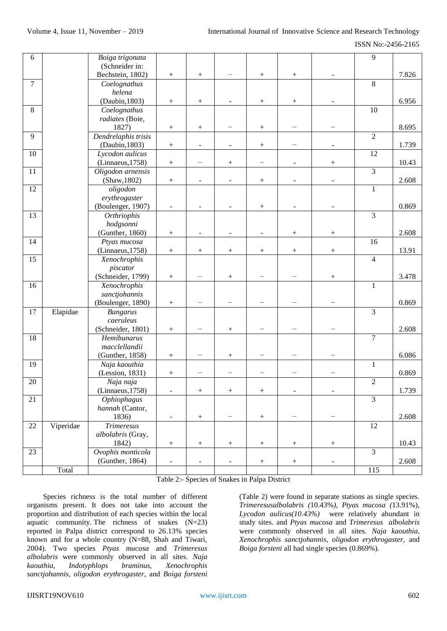| 6                |           | Boiga trigonata     |                          |                              |                          |                          |                          |                              | 9               |       |
|------------------|-----------|---------------------|--------------------------|------------------------------|--------------------------|--------------------------|--------------------------|------------------------------|-----------------|-------|
|                  |           | (Schneider in:      |                          |                              |                          |                          |                          |                              |                 |       |
|                  |           | Bechstein, 1802)    |                          | $\boldsymbol{+}$             |                          | $^{+}$                   | $^{+}$                   |                              |                 | 7.826 |
| $\boldsymbol{7}$ |           | Coelognathus        |                          |                              |                          |                          |                          |                              | $\overline{8}$  |       |
|                  |           | helena              |                          |                              |                          |                          |                          |                              |                 |       |
|                  |           | (Daubin, 1803)      |                          | $^{+}$                       |                          | $^{+}$                   | $^{+}$                   |                              |                 | 6.956 |
| $\overline{8}$   |           | Coelognathus        |                          |                              |                          |                          |                          |                              | $\overline{10}$ |       |
|                  |           | radiates (Boie,     |                          |                              |                          |                          |                          |                              |                 |       |
|                  |           | 1827)               |                          | $\boldsymbol{+}$             |                          | $^+$                     |                          |                              |                 | 8.695 |
| 9                |           | Dendrelaphis trisis |                          |                              |                          |                          |                          |                              | $\overline{2}$  |       |
|                  |           | (Daubin, 1803)      | $\boldsymbol{+}$         | $\overline{\phantom{a}}$     | $\overline{\phantom{a}}$ |                          |                          |                              |                 | 1.739 |
| 10               |           | Lycodon aulicus     |                          |                              |                          |                          |                          |                              | 12              |       |
|                  |           | (Linnaeus, 1758)    |                          | $\qquad \qquad -$            |                          | $\overline{\phantom{0}}$ |                          | $+$                          |                 | 10.43 |
| 11               |           | Oligodon arnensis   |                          |                              | $^{+}$                   |                          | $\overline{\phantom{a}}$ |                              | $\overline{3}$  |       |
|                  |           |                     |                          |                              |                          |                          |                          |                              |                 | 2.608 |
|                  |           | (Shaw, 1802)        | $\boldsymbol{+}$         | $\qquad \qquad \blacksquare$ | $\overline{\phantom{a}}$ | $^+$                     | $\overline{\phantom{a}}$ | $\qquad \qquad \blacksquare$ |                 |       |
| 12               |           | oligodon            |                          |                              |                          |                          |                          |                              | $\mathbf 1$     |       |
|                  |           | erythrogaster       |                          |                              |                          |                          |                          |                              |                 |       |
|                  |           | (Boulenger, 1907)   | $\blacksquare$           |                              |                          |                          |                          |                              |                 | 0.869 |
| 13               |           | Orthriophis         |                          |                              |                          |                          |                          |                              | 3               |       |
|                  |           | hodgsonni           |                          |                              |                          |                          |                          |                              |                 |       |
|                  |           | (Gunther, 1860)     |                          | $\overline{\phantom{0}}$     | $\blacksquare$           | $\overline{\phantom{a}}$ | $\boldsymbol{+}$         | $^{+}$                       |                 | 2.608 |
| 14               |           | Ptyas mucosa        |                          |                              |                          |                          |                          |                              | $\overline{16}$ |       |
|                  |           | (Linnaeus, 1758)    |                          | $\boldsymbol{+}$             | $^{+}$                   | $\! +$                   | $^{+}$                   | $^{+}$                       |                 | 13.91 |
| 15               |           | Xenochrophis        |                          |                              |                          |                          |                          |                              | $\overline{4}$  |       |
|                  |           | piscator            |                          |                              |                          |                          |                          |                              |                 |       |
|                  |           | (Schneider, 1799)   |                          |                              |                          |                          |                          | $\hspace{0.1mm} +$           |                 | 3.478 |
| 16               |           | Xenochrophis        |                          |                              |                          |                          |                          |                              | $\mathbf{1}$    |       |
|                  |           | sanctjohannis       |                          |                              |                          |                          |                          |                              |                 |       |
|                  |           | (Boulenger, 1890)   |                          | -                            |                          |                          |                          |                              |                 | 0.869 |
| $17\,$           | Elapidae  | <b>Bungarus</b>     |                          |                              |                          |                          |                          |                              | $\overline{3}$  |       |
|                  |           | caeruleus           |                          |                              |                          |                          |                          |                              |                 |       |
|                  |           | (Schneider, 1801)   | $\boldsymbol{+}$         | $\qquad \qquad -$            | $^{+}$                   | -                        |                          |                              |                 | 2.608 |
| 18               |           | Hemibunarus         |                          |                              |                          |                          |                          |                              | $\overline{7}$  |       |
|                  |           | macclellandii       |                          |                              |                          |                          |                          |                              |                 |       |
|                  |           | (Gunther, 1858)     | $\boldsymbol{+}$         |                              |                          |                          |                          |                              |                 | 6.086 |
| 19               |           | Naja kaouthia       |                          |                              |                          |                          |                          |                              | $\mathbf{1}$    |       |
|                  |           | (Lession, 1831)     |                          | $\overline{\phantom{0}}$     |                          | $\overline{\phantom{0}}$ |                          |                              |                 | 0.869 |
| $20\,$           |           | Naja naja           |                          |                              |                          |                          |                          |                              | $\overline{2}$  |       |
|                  |           | (Linnaeus, 1758)    | $\overline{\phantom{a}}$ | $^{+}$                       | $^{+}$                   | $^{+}$                   | $\overline{\phantom{a}}$ | $\qquad \qquad \blacksquare$ |                 | 1.739 |
| 21               |           | Ophiophagus         |                          |                              |                          |                          |                          |                              | $\overline{3}$  |       |
|                  |           | hannah (Cantor,     |                          |                              |                          |                          |                          |                              |                 |       |
|                  |           | 1836)               | $\overline{\phantom{a}}$ | $\boldsymbol{+}$             | $\overline{\phantom{m}}$ | $\boldsymbol{+}$         |                          | -                            |                 | 2.608 |
| $22\,$           | Viperidae | <b>Trimeresus</b>   |                          |                              |                          |                          |                          |                              | 12              |       |
|                  |           | albolabris (Gray,   |                          |                              |                          |                          |                          |                              |                 |       |
|                  |           | 1842)               | $\boldsymbol{+}$         | $\boldsymbol{+}$             |                          | $\boldsymbol{+}$         |                          | $+$                          |                 | 10.43 |
| 23               |           | Ovophis monticola   |                          |                              |                          |                          |                          |                              | $\overline{3}$  |       |
|                  |           | (Gunther, 1864)     |                          |                              |                          | $\boldsymbol{+}$         | $\boldsymbol{+}$         | -                            |                 | 2.608 |
|                  | Total     |                     |                          |                              |                          |                          |                          |                              | 115             |       |
|                  |           |                     |                          |                              |                          |                          |                          |                              |                 |       |

Table 2:- Species of Snakes in Palpa District

Species richness is the total number of different organisms present. It does not take into account the proportion and distribution of each species within the local aquatic community. The richness of snakes  $(N=23)$ reported in Palpa district correspond to 26.13% species known and for a whole country (N=88, Shah and Tiwari, 2004). Two species *Ptyas mucosa* and *Trimeresus albolabris* were commonly observed in all sites. *Naja kaouthia, Indotyphlops braminus, Xenochrophis sanctjohannis, oligodon erythrogaster,* and *Boiga forsteni*

(Table 2) were found in separate stations as single species*. Trimeresusalbolabris (*10.43%*), Ptyas mucosa (*13.91%), *Lycodon aulicus(10.43%)* were relatively abundant in study sites. and *Ptyas mucosa* and *Trimeresus albolabris* were commonly observed in all sites. *Naja kaouthia, Xenochrophis sanctjohannis, oligodon erythrogaster,* and *Boiga forsteni* all had single species (0.869%).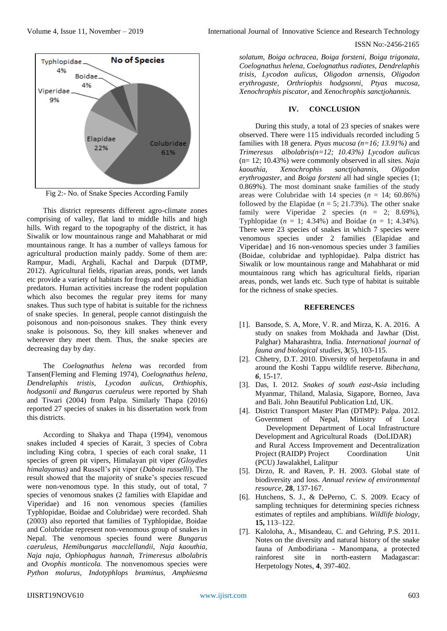

Fig 2:- No. of Snake Species According Family

This district represents different agro-climate zones comprising of valley, flat land to middle hills and high hills. With regard to the topography of the district, it has Siwalik or low mountainous range and Mahabharat or mid mountainous range. It has a number of valleys famous for agricultural production mainly paddy. Some of them are: Rampur, Madi, Arghali, Kachal and Darpuk (DTMP, 2012). Agricultural fields, riparian areas, ponds, wet lands etc provide a variety of habitats for frogs and their ophidian predators. Human activities increase the rodent population which also becomes the regular prey items for many snakes. Thus such type of habitat is suitable for the richness of snake species. In general, people cannot distinguish the poisonous and non-poisonous snakes. They think every snake is poisonous. So, they kill snakes whenever and wherever they meet them. Thus, the snake species are decreasing day by day.

The *Coelognathus helena* was recorded from Tansen(Fleming and Fleming 1974), *Coelognathus helena, Dendrelaphis tristis, Lycodon aulicus, Orthiophis, hodgsonii and Bungarus caeruleus* were reported by Shah and Tiwari (2004) from Palpa. Similarly Thapa (2016) reported 27 species of snakes in his dissertation work from this districts.

According to Shakya and Thapa (1994), venomous snakes included 4 species of Karait, 3 species of Cobra including King cobra, 1 species of each coral snake, 11 species of green pit vipers, Himalayan pit viper *(Gloydies himalayanus)* and Russell's pit viper (*Daboia russelli*). The result showed that the majority of snake's species rescued were non-venomous type. In this study, out of total, 7 species of venomous snakes (2 families with Elapidae and Viperidae) and 16 non venomous species (families Typhlopidae, Boidae and Colubridae) were recorded. Shah (2003) also reported that families of Typhlopidae, Boidae and Colubridae represent non-venomous group of snakes in Nepal. The venomous species found were *Bungarus caeruleus, Hemibungarus macclellandii, Naja kaouthia, Naja naja, Ophiophagus hannah, Trimeresus albolabris*  and *Ovophis monticola.* The nonvenomous species were *Python molurus, Indotyphlops braminus, Amphiesma* 

*solatum, Boiga ochracea, Boiga forsteni, Boiga trigonata, Coelognathus helena, Coelognathus radiates, Dendrelaphis trisis, Lycodon aulicus, Oligodon arnensis, Oligodon erythrogaste, Orthriophis hodgsonni, Ptyas mucosa, Xenochrophis piscator,* and *Xenochrophis sanctjohannis.*

#### **IV. CONCLUSION**

During this study, a total of 23 species of snakes were observed. There were 115 individuals recorded including 5 families with 18 genera. *Ptyas mucosa (n=16; 13.91%)* and *Trimeresus albolabris(n=12; 10.43%) Lycodon aulicus* (n= 12; 10.43%) were commonly observed in all sites. *Naja kaouthia, Xenochrophis sanctjohannis, Oligodon erythrogaster,* and *Boiga forsteni* all had single species (1; 0.869%). The most dominant snake families of the study areas were Colubridae with 14 species  $(n = 14; 60.86\%)$ followed by the Elapidae ( $n = 5$ ; 21.73%). The other snake family were Viperidae 2 species (*n* = 2; 8.69%), Typhlopidae (*n* = 1; 4.34%) and Boidae (*n* = 1; 4.34%). There were 23 species of snakes in which 7 species were venomous species under 2 families (Elapidae and Viperidae} and 16 non-venomous species under 3 families (Boidae, colubridae and typhlopidae). Palpa district has Siwalik or low mountainous range and Mahabharat or mid mountainous rang which has agricultural fields, riparian areas, ponds, wet lands etc. Such type of habitat is suitable for the richness of snake species.

### **REFERENCES**

- [1]. Bansode, S. A, More, V. R. and Mirza, K. A. 2016. A study on snakes from Mokhada and Jawhar (Dist. Palghar) Maharashtra, India. *International journal of fauna and biological studies*, **3**(5), 103-115.
- [2]. Chhetry, D.T. 2010. Diversity of herpetofauna in and around the Koshi Tappu wildlife reserve. *Bibechana, 6*, 15-17.
- [3]. Das, I. 2012. *Snakes of south east-Asia* including Myanmar, Thiland, Malasia, Sigapore, Borneo, Java and Bali. John Beautiful Publication Ltd, UK.
- [4]. District Transport Master Plan (DTMP): Palpa. 2012. Government of Nepal, Ministry of Local Development Department of Local Infrastructure Development and Agricultural Roads (DoLIDAR) and Rural Access Improvement and Decentralization Project (RAIDP) Project Coordination Unit (PCU) Jawalakhel, Lalitpur
- [5]. Dirzo, R. and Raven, P. H. 2003. Global state of biodiversity and loss. *Annual review of environmental resource,* **28**, 137-167.
- [6]. Hutchens, S. J., & DePerno, C. S. 2009. Ecacy of sampling techniques for determining species richness estimates of reptiles and amphibians. *Wildlife biology,* **15,** 113–122.
- [7]. Kaloloha, A., Misandeau, C. and Gehring, P.S. 2011. Notes on the diversity and natural history of the snake fauna of Ambodiriana - Manompana, a protected rainforest site in north-eastern Madagascar: Herpetology Notes, **4**, 397-402.